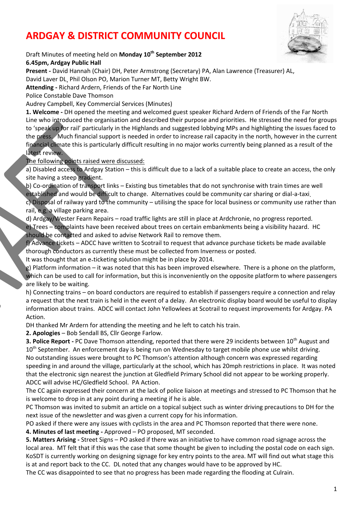# **ARDGAY & DISTRICT COMMUNITY COUNCIL**



## Draft Minutes of meeting held on **Monday 10th September 2012**

**6.45pm, Ardgay Public Hall**

**Present -** David Hannah (Chair) DH, Peter Armstrong (Secretary) PA, Alan Lawrence (Treasurer) AL, David Laver DL, Phil Olson PO, Marion Turner MT, Betty Wright BW.

**Attending -** Richard Ardern, Friends of the Far North Line

Police Constable Dave Thomson

Audrey Campbell, Key Commercial Services (Minutes)

**1. Welcome -** DH opened the meeting and welcomed guest speaker Richard Ardern of Friends of the Far North Line who introduced the organisation and described their purpose and priorities. He stressed the need for groups to 'speak up for rail' particularly in the Highlands and suggested lobbying MPs and highlighting the issues faced to the press. Much financial support is needed in order to increase rail capacity in the north, however in the current financial climate this is particularly difficult resulting in no major works currently being planned as a result of the latest review.

The following points raised were discussed:

a) Disabled access to Ardgay Station – this is difficult due to a lack of a suitable place to create an access, the only site having a steep gradient.

b) Co-ordination of transport links – Existing bus timetables that do not synchronise with train times are well established and would be difficult to change. Alternatives could be community car sharing or dial-a-taxi. c) Disposal of railway yard to the community – utilising the space for local business or community use rather than rail, e.g. a village parking area.

d) Ardgay/Wester Fearn Repairs – road traffic lights are still in place at Ardchronie, no progress reported. e) Trees – complaints have been received about trees on certain embankments being a visibility hazard. HC should be contacted and asked to advise Network Rail to remove them.

f) Advance tickets – ADCC have written to Scotrail to request that advance purchase tickets be made available thorough conductors as currently these must be collected from Inverness or posted.

It was thought that an e-ticketing solution might be in place by 2014.

g) Platform information – it was noted that this has been improved elsewhere. There is a phone on the platform, which can be used to call for information, but this is inconveniently on the opposite platform to where passengers are likely to be waiting.

h) Connecting trains – on board conductors are required to establish if passengers require a connection and relay a request that the next train is held in the event of a delay. An electronic display board would be useful to display information about trains. ADCC will contact John Yellowlees at Scotrail to request improvements for Ardgay. PA Action.

DH thanked Mr Ardern for attending the meeting and he left to catch his train.

**2. Apologies** – Bob Sendall BS, Cllr George Farlow.

**3. Police Report -** PC Dave Thomson attending, reported that there were 29 incidents between 10<sup>th</sup> August and 10<sup>th</sup> September. An enforcement day is being run on Wednesday to target mobile phone use whilst driving. No outstanding issues were brought to PC Thomson's attention although concern was expressed regarding speeding in and around the village, particularly at the school, which has 20mph restrictions in place. It was noted that the electronic sign nearest the junction at Gledfield Primary School did not appear to be working properly. ADCC will advise HC/Gledfield School. PA Action.

The CC again expressed their concern at the lack of police liaison at meetings and stressed to PC Thomson that he is welcome to drop in at any point during a meeting if he is able.

PC Thomson was invited to submit an article on a topical subject such as winter driving precautions to DH for the next issue of the newsletter and was given a current copy for his information.

PO asked if there were any issues with cyclists in the area and PC Thomson reported that there were none.

**4. Minutes of last meeting -** Approved – PO proposed, MT seconded.

**5. Matters Arising -** Street Signs – PO asked if there was an initiative to have common road signage across the local area. MT felt that if this was the case that some thought be given to including the postal code on each sign. KoSDT is currently working on designing signage for key entry points to the area. MT will find out what stage this is at and report back to the CC. DL noted that any changes would have to be approved by HC.

The CC was disappointed to see that no progress has been made regarding the flooding at Culrain.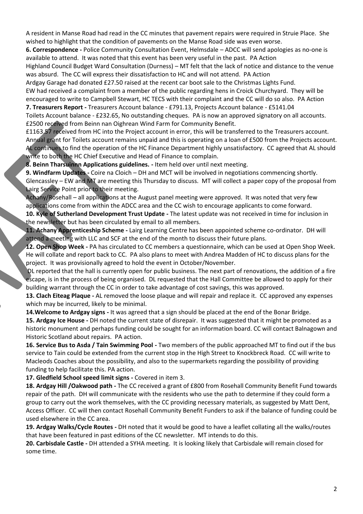A resident in Manse Road had read in the CC minutes that pavement repairs were required in Struie Place. She wished to highlight that the condition of pavements on the Manse Road side was even worse.

**6. Correspondence -** Police Community Consultation Event, Helmsdale – ADCC will send apologies as no-one is available to attend. It was noted that this event has been very useful in the past. PA Action

Highland Council Budget Ward Consultation (Durness) – MT felt that the lack of notice and distance to the venue was absurd. The CC will express their dissatisfaction to HC and will not attend. PA Action

Ardgay Garage had donated £27.50 raised at the recent car boot sale to the Christmas Lights Fund.

EW had received a complaint from a member of the public regarding hens in Croick Churchyard. They will be encouraged to write to Campbell Stewart, HC TECS with their complaint and the CC will do so also. PA Action **7. Treasurers Report -** Treasurers Account balance - £791.13, Projects Account balance - £5141.04

Toilets Account balance - £232.65, No outstanding cheques. PA is now an approved signatory on all accounts. £2500 received from Beinn nan Oighrean Wind Farm for Community Benefit.

£1163.57 received from HC into the Project account in error, this will be transferred to the Treasurers account. Annual grant for Toilets account remains unpaid and this is operating on a loan of £500 from the Projects account. AL continues to find the operation of the HC Finance Department highly unsatisfactory. CC agreed that AL should write to both the HC Chief Executive and Head of Finance to complain.

**8. Beinn Tharsuinnn Applications guidelines. -** Item held over until next meeting.

**9. Windfarm Updates -** Coire na Cloich – DH and MCT will be involved in negotiations commencing shortly. Glencassley – EW and MT are meeting this Thursday to discuss. MT will collect a paper copy of the proposal from Lairg Service Point prior to their meeting.

Achany/Rosehall – all applications at the August panel meeting were approved. It was noted that very few applications come from within the ADCC area and the CC wish to encourage applicants to come forward.

**10. Kyle of Sutherland Development Trust Update -** The latest update was not received in time for inclusion in the newsletter but has been circulated by email to all members.

**11. Achany Apprenticeship Scheme -** Lairg Learning Centre has been appointed scheme co-ordinator. DH will attend a meeting with LLC and SCF at the end of the month to discuss their future plans.

**12. Open Shop Week -** PA has circulated to CC members a questionnaire, which can be used at Open Shop Week. He will collate and report back to CC. PA also plans to meet with Andrea Madden of HC to discuss plans for the project. It was provisionally agreed to hold the event in October/November.

 DL reported that the hall is currently open for public business. The next part of renovations, the addition of a fire escape, is in the process of being organised. DL requested that the Hall Committee be allowed to apply for their building warrant through the CC in order to take advantage of cost savings, this was approved.

**13. Clach Eiteag Plaque -** AL removed the loose plaque and will repair and replace it. CC approved any expenses which may be incurred, likely to be minimal.

**14.Welcome to Ardgay signs -** It was agreed that a sign should be placed at the end of the Bonar Bridge. **15. Ardgay Ice House -** DH noted the current state of disrepair. It was suggested that it might be promoted as a historic monument and perhaps funding could be sought for an information board. CC will contact Balnagown and Historic Scotland about repairs. PA action.

**16. Service Bus to Asda / Tain Swimming Pool -** Two members of the public approached MT to find out if the bus service to Tain could be extended from the current stop in the High Street to Knockbreck Road. CC will write to Macleods Coaches about the possibility, and also to the supermarkets regarding the possibility of providing funding to help facilitate this. PA action.

**17. Gledfield School speed limit signs -** Covered in item 3.

**18. Ardgay Hill /Oakwood path -** The CC received a grant of £800 from Rosehall Community Benefit Fund towards repair of the path. DH will communicate with the residents who use the path to determine if they could form a group to carry out the work themselves, with the CC providing necessary materials, as suggested by Matt Dent, Access Officer. CC will then contact Rosehall Community Benefit Funders to ask if the balance of funding could be used elsewhere in the CC area.

**19. Ardgay Walks/Cycle Routes -** DH noted that it would be good to have a leaflet collating all the walks/routes that have been featured in past editions of the CC newsletter. MT intends to do this.

**20. Carbisdale Castle -** DH attended a SYHA meeting. It is looking likely that Carbisdale will remain closed for some time.